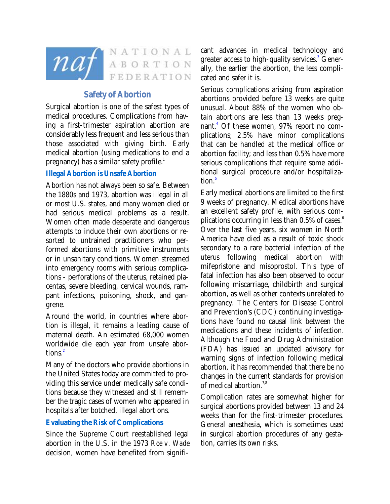

NATIONAL nat ABORTION FEDERATION

# **Safety of Abortion**

Surgical abortion is one of the safest types of medical procedures. Complications from having a first-trimester aspiration abortion are considerably less frequent and less serious than those associated with giving birth. Early medical abortion (using medications to end a pregnancy) has a similar safety profile.<sup>1</sup>

#### **Illegal Abortion is Unsafe Abortion**

Abortion has not always been so safe. Between the 1880s and 1973, abortion was illegal in all or most U.S. states, and many women died or had serious medical problems as a result. Women often made desperate and dangerous attempts to induce their own abortions or resorted to untrained practitioners who performed abortions with primitive instruments or in unsanitary conditions. Women streamed into emergency rooms with serious complications - perforations of the uterus, retained placentas, severe bleeding, cervical wounds, rampant infections, poisoning, shock, and gangrene.

Around the world, in countries where abortion is illegal, it remains a leading cause of maternal death. An estimated 68,000 women worldwide die each year from unsafe abortions.<sup>2</sup>

Many of the doctors who provide abortions in the United States today are committed to providing this service under medically safe conditions because they witnessed and still remember the tragic cases of women who appeared in hospitals after botched, illegal abortions.

#### **Evaluating the Risk of Complications**

Since the Supreme Court reestablished legal abortion in the U.S. in the 1973 *Roe v. Wade* decision, women have benefited from signifi-

cant advances in medical technology and greater access to high-quality services.<sup>3</sup> Generally, the earlier the abortion, the less complicated and safer it is.

Serious complications arising from aspiration abortions provided before 13 weeks are quite unusual. About 88% of the women who obtain abortions are less than 13 weeks pregnant.<sup>4</sup> Of these women, 97% report no complications; 2.5% have minor complications that can be handled at the medical office or abortion facility; and less than 0.5% have more serious complications that require some additional surgical procedure and/or hospitalization.<sup>5</sup>

Early medical abortions are limited to the first 9 weeks of pregnancy. Medical abortions have an excellent safety profile, with serious complications occurring in less than  $0.5\%$  of cases.<sup>6</sup> Over the last five years, six women in North America have died as a result of toxic shock secondary to a rare bacterial infection of the uterus following medical abortion with mifepristone and misoprostol. This type of fatal infection has also been observed to occur following miscarriage, childbirth and surgical abortion, as well as other contexts unrelated to pregnancy. The Centers for Disease Control and Prevention's (CDC) continuing investigations have found no causal link between the medications and these incidents of infection. Although the Food and Drug Administration (FDA) has issued an updated advisory for warning signs of infection following medical abortion, it has recommended that there be no changes in the current standards for provision of medical abortion.<sup>7,8</sup>

Complication rates are somewhat higher for surgical abortions provided between  $13$  and  $24$ weeks than for the first-trimester procedures. General anesthesia, which is sometimes used in surgical abortion procedures of any gestation, carries its own risks.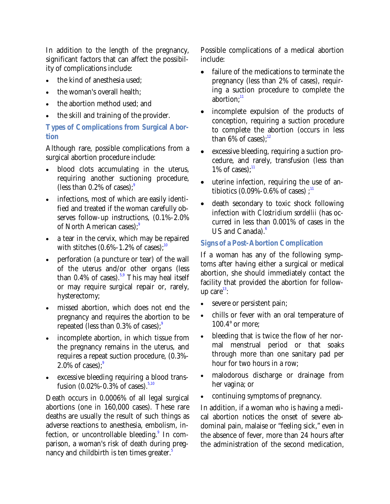In addition to the length of the pregnancy, significant factors that can affect the possibility of complications include:

- the kind of anesthesia used;
- the woman's overall health;
- the abortion method used; and
- the skill and training of the provider.

**Types of Complications from Surgical Abortion** 

Although rare, possible complications from a surgical abortion procedure include:

- blood clots accumulating in the uterus, requiring another suctioning procedure, (less than  $0.2\%$  of cases);<sup>9</sup>
- infections, most of which are easily identified and treated if the woman carefully observes follow-up instructions, (0.1%-2.0% of North American cases):<sup>9</sup>
- a tear in the cervix, which may be repaired with stitches  $(0.6\% - 1.2\% \text{ of cases})$ ;<sup>10</sup>
- perforation (a puncture or tear) of the wall of the uterus and/or other organs (less than  $0.4\%$  of cases).<sup>5,9</sup> This may heal itself or may require surgical repair or, rarely, hysterectomy;
- missed abortion, which does not end the pregnancy and requires the abortion to be repeated (less than  $0.3\%$  of cases);<sup>9</sup>
- incomplete abortion, in which tissue from the pregnancy remains in the uterus, and requires a repeat suction procedure, (0.3%- 2.0% of cases): $9$
- excessive bleeding requiring a blood transfusion  $(0.02\% - 0.3\% )$  of cases).<sup>5,10</sup>

Death occurs in 0.0006% of all legal surgical abortions (one in 160,000 cases). These rare deaths are usually the result of such things as adverse reactions to anesthesia, embolism, infection, or uncontrollable bleeding.<sup>9</sup> In comparison, a woman's risk of death during pregnancy and childbirth is ten times greater. $^{\mathrm{5}}$ 

Possible complications of a medical abortion include:

- failure of the medications to terminate the pregnancy (less than 2% of cases), requiring a suction procedure to complete the abortion: $11$
- incomplete expulsion of the products of conception, requiring a suction procedure to complete the abortion (occurs in less than 6% of cases): $12$
- excessive bleeding, requiring a suction procedure, and rarely, transfusion (less than  $1\%$  of cases): $11$
- uterine infection, requiring the use of antibiotics  $(0.09\% - 0.6\% \text{ of cases})$ ;<sup>11</sup>
- death secondary to toxic shock following infection with *Clostridium sordellii* (has occurred in less than 0.001% of cases in the US and Canada). $6$

## **Signs of a Post-Abortion Complication**

If a woman has any of the following symptoms after having either a surgical or medical abortion, she should immediately contact the facility that provided the abortion for followup care $13$ :

- severe or persistent pain;
- chills or fever with an oral temperature of 100.4° or more;
- bleeding that is twice the flow of her normal menstrual period or that soaks through more than one sanitary pad per hour for two hours in a row;
- malodorous discharge or drainage from her vagina; or
- continuing symptoms of pregnancy.

In addition, if a woman who is having a medical abortion notices the onset of severe abdominal pain, malaise or "feeling sick," even in the absence of fever, more than 24 hours after the administration of the second medication,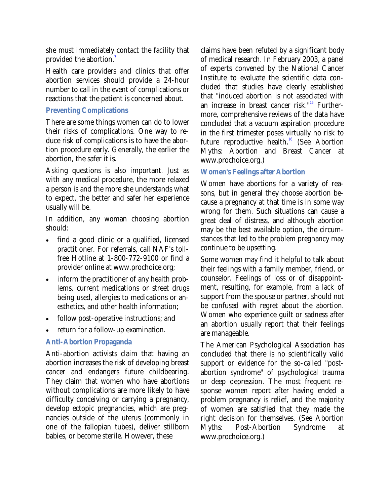she must immediately contact the facility that provided the abortion.<sup>7</sup>

Health care providers and clinics that offer abortion services should provide a 24-hour number to call in the event of complications or reactions that the patient is concerned about.

## **Preventing Complications**

There are some things women can do to lower their risks of complications. One way to reduce risk of complications is to have the abortion procedure early. Generally, the earlier the abortion, the safer it is.

Asking questions is also important. Just as with any medical procedure, the more relaxed a person is and the more she understands what to expect, the better and safer her experience usually will be.

In addition, any woman choosing abortion should:

- find a good clinic or a qualified, licensed practitioner. For referrals, call NAF's tollfree Hotline at 1-800-772-9100 or find a provider online at www.prochoice.org;
- inform the practitioner of any health problems, current medications or street drugs being used, allergies to medications or anesthetics, and other health information;
- follow post-operative instructions; and
- return for a follow-up examination.

# **Anti-Abortion Propaganda**

Anti-abortion activists claim that having an abortion increases the risk of developing breast cancer and endangers future childbearing. They claim that women who have abortions without complications are more likely to have difficulty conceiving or carrying a pregnancy, develop ectopic pregnancies, which are pregnancies outside of the uterus (commonly in one of the fallopian tubes), deliver stillborn babies, or become sterile. However, these

claims have been refuted by a significant body of medical research. In February 2003, a panel of experts convened by the National Cancer Institute to evaluate the scientific data concluded that studies have clearly established that "induced abortion is not associated with an increase in breast cancer risk."15 Furthermore, comprehensive reviews of the data have concluded that a vacuum aspiration procedure in the first trimester poses virtually no risk to future reproductive health.<sup>16</sup> (See Abortion Myths: Abortion and Breast Cancer at www.prochoice.org.)

## **Women's Feelings after Abortion**

Women have abortions for a variety of reasons, but in general they choose abortion because a pregnancy at that time is in some way wrong for them. Such situations can cause a great deal of distress, and although abortion may be the best available option, the circumstances that led to the problem pregnancy may continue to be upsetting.

Some women may find it helpful to talk about their feelings with a family member, friend, or counselor. Feelings of loss or of disappointment, resulting, for example, from a lack of support from the spouse or partner, should not be confused with regret about the abortion. Women who experience guilt or sadness after an abortion usually report that their feelings are manageable.

The American Psychological Association has concluded that there is no scientifically valid support or evidence for the so-called "postabortion syndrome" of psychological trauma or deep depression. The most frequent response women report after having ended a problem pregnancy is relief, and the majority of women are satisfied that they made the right decision for themselves. (See Abortion Myths: Post-Abortion Syndrome at www.prochoice.org.)